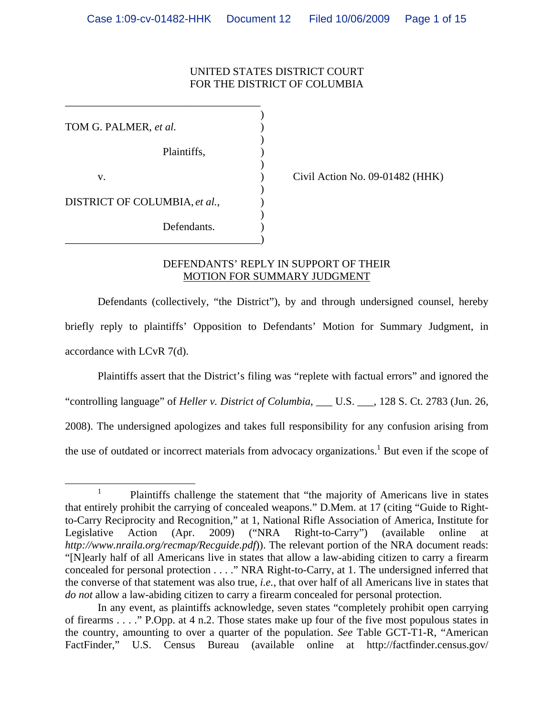## UNITED STATES DISTRICT COURT FOR THE DISTRICT OF COLUMBIA

 $)$ TOM G. PALMER, *et al.*  $)$  $\overline{\phantom{a}}$ Plaintiffs,  $\qquad \qquad$ )  $\overline{\phantom{a}}$ v. **(a)**  $\qquad \qquad$  (ivil Action No. 09-01482 (HHK)  $\overline{\phantom{a}}$ DISTRICT OF COLUMBIA, *et al.*,  $\qquad)$  $\overline{\phantom{a}}$ Defendants. \_\_\_\_\_\_\_\_\_\_\_\_\_\_\_\_\_\_\_\_\_\_\_\_\_\_\_\_\_\_\_\_\_\_\_\_)

\_\_\_\_\_\_\_\_\_\_\_\_\_\_\_\_\_\_\_\_\_\_\_\_\_\_\_\_\_\_\_\_\_\_\_\_

# DEFENDANTS' REPLY IN SUPPORT OF THEIR MOTION FOR SUMMARY JUDGMENT

Defendants (collectively, "the District"), by and through undersigned counsel, hereby briefly reply to plaintiffs' Opposition to Defendants' Motion for Summary Judgment, in accordance with LCvR 7(d).

Plaintiffs assert that the District's filing was "replete with factual errors" and ignored the

"controlling language" of *Heller v. District of Columbia*, \_\_\_ U.S. \_\_\_, 128 S. Ct. 2783 (Jun. 26,

2008). The undersigned apologizes and takes full responsibility for any confusion arising from

the use of outdated or incorrect materials from advocacy organizations.<sup>1</sup> But even if the scope of

<sup>&</sup>lt;u>1</u> <sup>1</sup> Plaintiffs challenge the statement that "the majority of Americans live in states that entirely prohibit the carrying of concealed weapons." D.Mem. at 17 (citing "Guide to Rightto-Carry Reciprocity and Recognition," at 1, National Rifle Association of America, Institute for Legislative Action (Apr. 2009) ("NRA Right-to-Carry") (available online at *http://www.nraila.org/recmap/Recguide.pdf*)). The relevant portion of the NRA document reads: "[N]early half of all Americans live in states that allow a law-abiding citizen to carry a firearm concealed for personal protection . . . ." NRA Right-to-Carry, at 1. The undersigned inferred that the converse of that statement was also true, *i.e.*, that over half of all Americans live in states that *do not* allow a law-abiding citizen to carry a firearm concealed for personal protection.

In any event, as plaintiffs acknowledge, seven states "completely prohibit open carrying of firearms . . . ." P.Opp. at 4 n.2. Those states make up four of the five most populous states in the country, amounting to over a quarter of the population. *See* Table GCT-T1-R, "American FactFinder," U.S. Census Bureau (available online at http://factfinder.census.gov/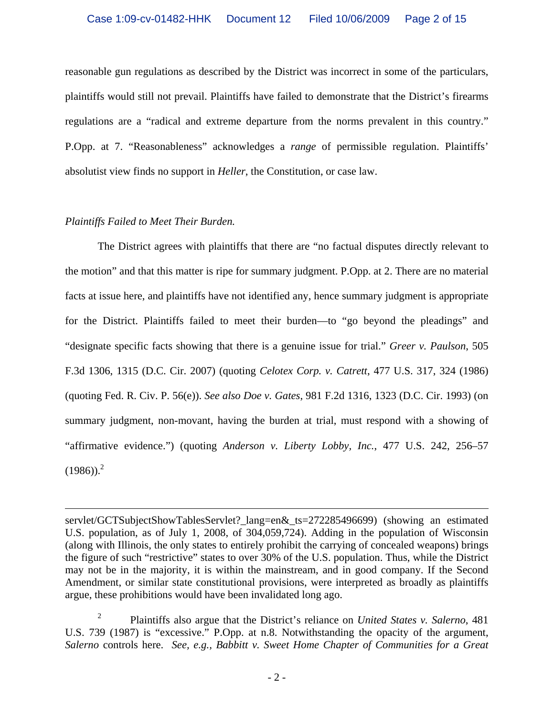reasonable gun regulations as described by the District was incorrect in some of the particulars, plaintiffs would still not prevail. Plaintiffs have failed to demonstrate that the District's firearms regulations are a "radical and extreme departure from the norms prevalent in this country." P.Opp. at 7. "Reasonableness" acknowledges a *range* of permissible regulation. Plaintiffs' absolutist view finds no support in *Heller*, the Constitution, or case law.

# *Plaintiffs Failed to Meet Their Burden.*

 $\overline{a}$ 

 The District agrees with plaintiffs that there are "no factual disputes directly relevant to the motion" and that this matter is ripe for summary judgment. P.Opp. at 2. There are no material facts at issue here, and plaintiffs have not identified any, hence summary judgment is appropriate for the District. Plaintiffs failed to meet their burden—to "go beyond the pleadings" and "designate specific facts showing that there is a genuine issue for trial." *Greer v. Paulson*, 505 F.3d 1306, 1315 (D.C. Cir. 2007) (quoting *Celotex Corp. v. Catrett*, 477 U.S. 317, 324 (1986) (quoting Fed. R. Civ. P. 56(e)). *See also Doe v. Gates*, 981 F.2d 1316, 1323 (D.C. Cir. 1993) (on summary judgment, non-movant, having the burden at trial, must respond with a showing of "affirmative evidence.") (quoting *Anderson v. Liberty Lobby, Inc.*, 477 U.S. 242, 256–57  $(1986)$ <sup>2</sup>

servlet/GCTSubjectShowTablesServlet?\_lang=en&\_ts=272285496699) (showing an estimated U.S. population, as of July 1, 2008, of 304,059,724). Adding in the population of Wisconsin (along with Illinois, the only states to entirely prohibit the carrying of concealed weapons) brings the figure of such "restrictive" states to over 30% of the U.S. population. Thus, while the District may not be in the majority, it is within the mainstream, and in good company. If the Second Amendment, or similar state constitutional provisions, were interpreted as broadly as plaintiffs argue, these prohibitions would have been invalidated long ago.

<sup>2</sup> Plaintiffs also argue that the District's reliance on *United States v. Salerno*, 481 U.S. 739 (1987) is "excessive." P.Opp. at n.8. Notwithstanding the opacity of the argument, *Salerno* controls here. *See, e.g., Babbitt v. Sweet Home Chapter of Communities for a Great*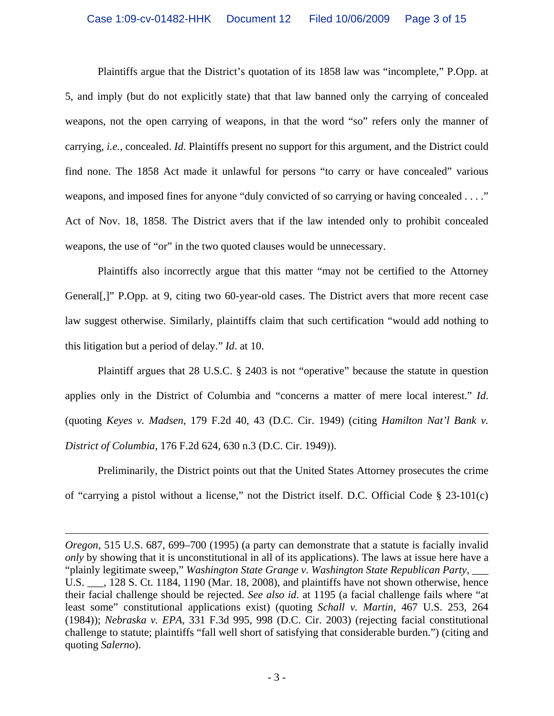Plaintiffs argue that the District's quotation of its 1858 law was "incomplete," P.Opp. at 5, and imply (but do not explicitly state) that that law banned only the carrying of concealed weapons, not the open carrying of weapons, in that the word "so" refers only the manner of carrying, *i.e.*, concealed. *Id*. Plaintiffs present no support for this argument, and the District could find none. The 1858 Act made it unlawful for persons "to carry or have concealed" various weapons, and imposed fines for anyone "duly convicted of so carrying or having concealed . . . ." Act of Nov. 18, 1858. The District avers that if the law intended only to prohibit concealed weapons, the use of "or" in the two quoted clauses would be unnecessary.

 Plaintiffs also incorrectly argue that this matter "may not be certified to the Attorney General[,]" P.Opp. at 9, citing two 60-year-old cases. The District avers that more recent case law suggest otherwise. Similarly, plaintiffs claim that such certification "would add nothing to this litigation but a period of delay." *Id*. at 10.

 Plaintiff argues that 28 U.S.C. § 2403 is not "operative" because the statute in question applies only in the District of Columbia and "concerns a matter of mere local interest." *Id*. (quoting *Keyes v. Madsen*, 179 F.2d 40, 43 (D.C. Cir. 1949) (citing *Hamilton Nat'l Bank v. District of Columbia*, 176 F.2d 624, 630 n.3 (D.C. Cir. 1949)).

 Preliminarily, the District points out that the United States Attorney prosecutes the crime of "carrying a pistol without a license," not the District itself. D.C. Official Code § 23-101(c)

1

*Oregon*, 515 U.S. 687, 699–700 (1995) (a party can demonstrate that a statute is facially invalid *only* by showing that it is unconstitutional in all of its applications). The laws at issue here have a "plainly legitimate sweep," *Washington State Grange v. Washington State Republican Party*, \_\_\_ U.S.  $\ldots$ , 128 S. Ct. 1184, 1190 (Mar. 18, 2008), and plaintiffs have not shown otherwise, hence their facial challenge should be rejected. *See also id*. at 1195 (a facial challenge fails where "at least some" constitutional applications exist) (quoting *Schall v. Martin*, 467 U.S. 253, 264 (1984)); *Nebraska v. EPA*, 331 F.3d 995, 998 (D.C. Cir. 2003) (rejecting facial constitutional challenge to statute; plaintiffs "fall well short of satisfying that considerable burden.") (citing and quoting *Salerno*).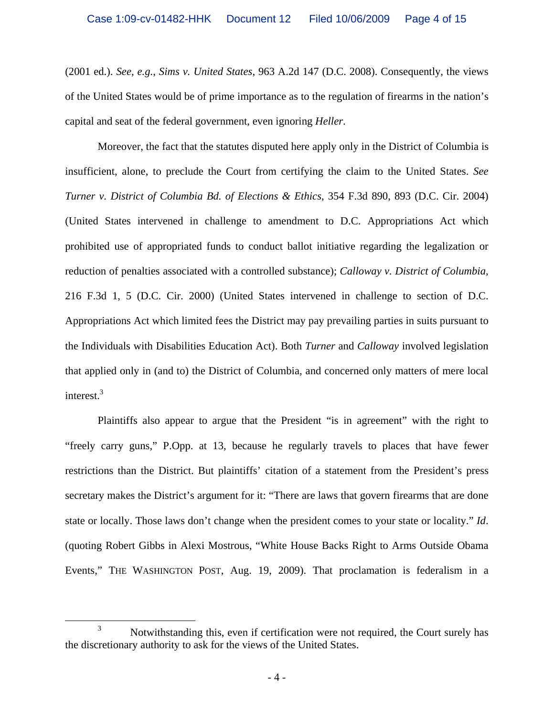(2001 ed.). *See, e.g.*, *Sims v. United States*, 963 A.2d 147 (D.C. 2008). Consequently, the views of the United States would be of prime importance as to the regulation of firearms in the nation's capital and seat of the federal government, even ignoring *Heller*.

Moreover, the fact that the statutes disputed here apply only in the District of Columbia is insufficient, alone, to preclude the Court from certifying the claim to the United States. *See Turner v. District of Columbia Bd. of Elections & Ethics*, 354 F.3d 890, 893 (D.C. Cir. 2004) (United States intervened in challenge to amendment to D.C. Appropriations Act which prohibited use of appropriated funds to conduct ballot initiative regarding the legalization or reduction of penalties associated with a controlled substance); *Calloway v. District of Columbia*, 216 F.3d 1, 5 (D.C. Cir. 2000) (United States intervened in challenge to section of D.C. Appropriations Act which limited fees the District may pay prevailing parties in suits pursuant to the Individuals with Disabilities Education Act). Both *Turner* and *Calloway* involved legislation that applied only in (and to) the District of Columbia, and concerned only matters of mere local interest.<sup>3</sup>

Plaintiffs also appear to argue that the President "is in agreement" with the right to "freely carry guns," P.Opp. at 13, because he regularly travels to places that have fewer restrictions than the District. But plaintiffs' citation of a statement from the President's press secretary makes the District's argument for it: "There are laws that govern firearms that are done state or locally. Those laws don't change when the president comes to your state or locality." *Id*. (quoting Robert Gibbs in Alexi Mostrous, "White House Backs Right to Arms Outside Obama Events," THE WASHINGTON POST, Aug. 19, 2009). That proclamation is federalism in a

 $\frac{1}{3}$ <sup>3</sup> Notwithstanding this, even if certification were not required, the Court surely has the discretionary authority to ask for the views of the United States.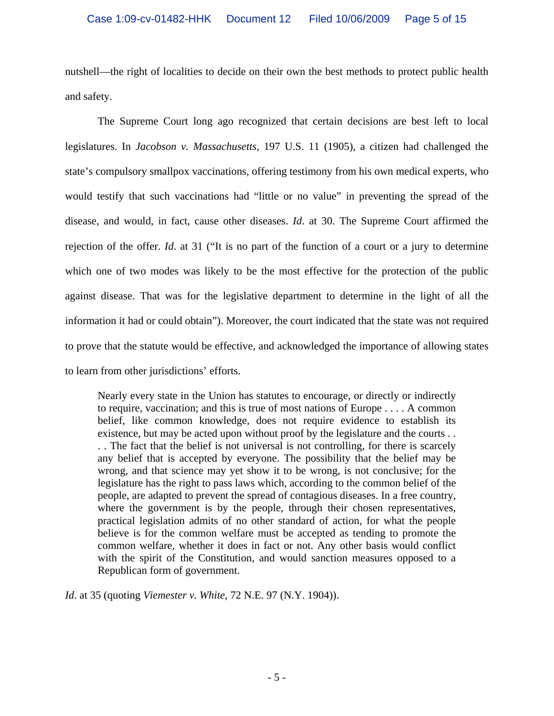nutshell—the right of localities to decide on their own the best methods to protect public health and safety.

The Supreme Court long ago recognized that certain decisions are best left to local legislatures. In *Jacobson v. Massachusetts*, 197 U.S. 11 (1905), a citizen had challenged the state's compulsory smallpox vaccinations, offering testimony from his own medical experts, who would testify that such vaccinations had "little or no value" in preventing the spread of the disease, and would, in fact, cause other diseases. *Id*. at 30. The Supreme Court affirmed the rejection of the offer. *Id*. at 31 ("It is no part of the function of a court or a jury to determine which one of two modes was likely to be the most effective for the protection of the public against disease. That was for the legislative department to determine in the light of all the information it had or could obtain"). Moreover, the court indicated that the state was not required to prove that the statute would be effective, and acknowledged the importance of allowing states to learn from other jurisdictions' efforts.

Nearly every state in the Union has statutes to encourage, or directly or indirectly to require, vaccination; and this is true of most nations of Europe . . . . A common belief, like common knowledge, does not require evidence to establish its existence, but may be acted upon without proof by the legislature and the courts . . . . The fact that the belief is not universal is not controlling, for there is scarcely any belief that is accepted by everyone. The possibility that the belief may be wrong, and that science may yet show it to be wrong, is not conclusive; for the legislature has the right to pass laws which, according to the common belief of the people, are adapted to prevent the spread of contagious diseases. In a free country, where the government is by the people, through their chosen representatives, practical legislation admits of no other standard of action, for what the people believe is for the common welfare must be accepted as tending to promote the common welfare, whether it does in fact or not. Any other basis would conflict with the spirit of the Constitution, and would sanction measures opposed to a Republican form of government.

*Id*. at 35 (quoting *Viemester v. White*, 72 N.E. 97 (N.Y. 1904)).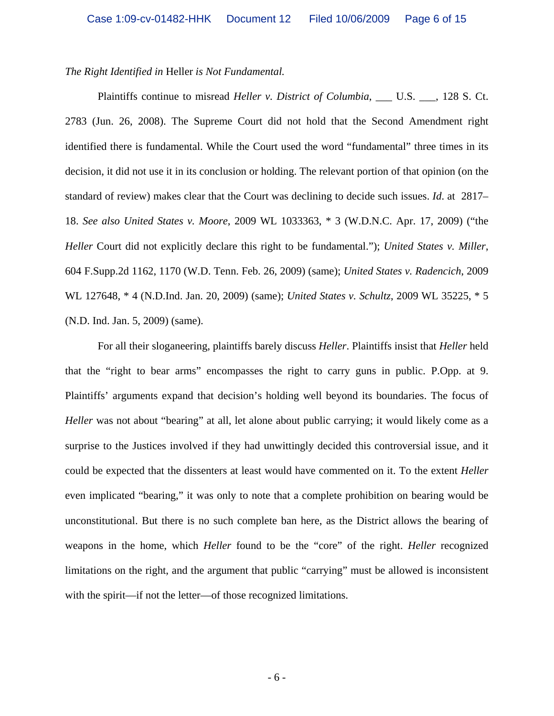### *The Right Identified in* Heller *is Not Fundamental.*

Plaintiffs continue to misread *Heller v. District of Columbia*, \_\_\_ U.S. \_\_\_, 128 S. Ct. 2783 (Jun. 26, 2008). The Supreme Court did not hold that the Second Amendment right identified there is fundamental. While the Court used the word "fundamental" three times in its decision, it did not use it in its conclusion or holding. The relevant portion of that opinion (on the standard of review) makes clear that the Court was declining to decide such issues. *Id*. at 2817– 18. *See also United States v. Moore*, 2009 WL 1033363, \* 3 (W.D.N.C. Apr. 17, 2009) ("the *Heller* Court did not explicitly declare this right to be fundamental."); *United States v. Miller*, 604 F.Supp.2d 1162, 1170 (W.D. Tenn. Feb. 26, 2009) (same); *United States v. Radencich*, 2009 WL 127648, \* 4 (N.D.Ind. Jan. 20, 2009) (same); *United States v. Schultz*, 2009 WL 35225, \* 5 (N.D. Ind. Jan. 5, 2009) (same).

 For all their sloganeering, plaintiffs barely discuss *Heller*. Plaintiffs insist that *Heller* held that the "right to bear arms" encompasses the right to carry guns in public. P.Opp. at 9. Plaintiffs' arguments expand that decision's holding well beyond its boundaries. The focus of *Heller* was not about "bearing" at all, let alone about public carrying; it would likely come as a surprise to the Justices involved if they had unwittingly decided this controversial issue, and it could be expected that the dissenters at least would have commented on it. To the extent *Heller* even implicated "bearing," it was only to note that a complete prohibition on bearing would be unconstitutional. But there is no such complete ban here, as the District allows the bearing of weapons in the home, which *Heller* found to be the "core" of the right. *Heller* recognized limitations on the right, and the argument that public "carrying" must be allowed is inconsistent with the spirit—if not the letter—of those recognized limitations.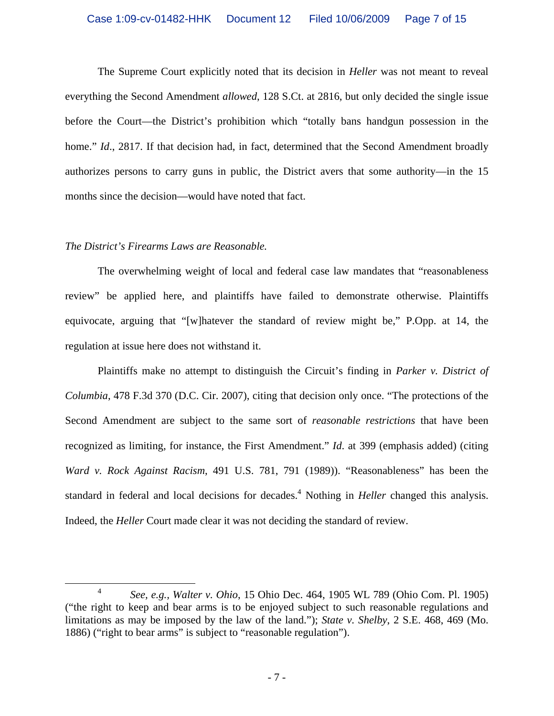#### Case 1:09-cv-01482-HHK Document 12 Filed 10/06/2009 Page 7 of 15

The Supreme Court explicitly noted that its decision in *Heller* was not meant to reveal everything the Second Amendment *allowed*, 128 S.Ct. at 2816, but only decided the single issue before the Court—the District's prohibition which "totally bans handgun possession in the home." *Id.*, 2817. If that decision had, in fact, determined that the Second Amendment broadly authorizes persons to carry guns in public, the District avers that some authority—in the 15 months since the decision—would have noted that fact.

### *The District's Firearms Laws are Reasonable.*

The overwhelming weight of local and federal case law mandates that "reasonableness review" be applied here, and plaintiffs have failed to demonstrate otherwise. Plaintiffs equivocate, arguing that "[w]hatever the standard of review might be," P.Opp. at 14, the regulation at issue here does not withstand it.

Plaintiffs make no attempt to distinguish the Circuit's finding in *Parker v. District of Columbia*, 478 F.3d 370 (D.C. Cir. 2007), citing that decision only once. "The protections of the Second Amendment are subject to the same sort of *reasonable restrictions* that have been recognized as limiting, for instance, the First Amendment." *Id*. at 399 (emphasis added) (citing *Ward v. Rock Against Racism*, 491 U.S. 781, 791 (1989)). "Reasonableness" has been the standard in federal and local decisions for decades.<sup>4</sup> Nothing in *Heller* changed this analysis. Indeed, the *Heller* Court made clear it was not deciding the standard of review.

 <sup>4</sup> *See, e.g., Walter v. Ohio*, 15 Ohio Dec. 464, 1905 WL 789 (Ohio Com. Pl. 1905) ("the right to keep and bear arms is to be enjoyed subject to such reasonable regulations and limitations as may be imposed by the law of the land."); *State v. Shelby*, 2 S.E. 468, 469 (Mo. 1886) ("right to bear arms" is subject to "reasonable regulation").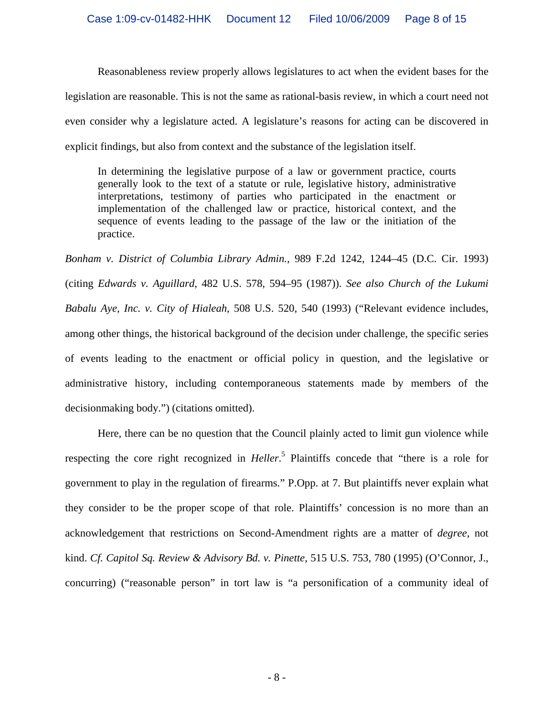Reasonableness review properly allows legislatures to act when the evident bases for the legislation are reasonable. This is not the same as rational-basis review, in which a court need not even consider why a legislature acted. A legislature's reasons for acting can be discovered in explicit findings, but also from context and the substance of the legislation itself.

In determining the legislative purpose of a law or government practice, courts generally look to the text of a statute or rule, legislative history, administrative interpretations, testimony of parties who participated in the enactment or implementation of the challenged law or practice, historical context, and the sequence of events leading to the passage of the law or the initiation of the practice.

*Bonham v. District of Columbia Library Admin.*, 989 F.2d 1242, 1244–45 (D.C. Cir. 1993) (citing *Edwards v. Aguillard*, 482 U.S. 578, 594–95 (1987)). *See also Church of the Lukumi Babalu Aye, Inc. v. City of Hialeah*, 508 U.S. 520, 540 (1993) ("Relevant evidence includes, among other things, the historical background of the decision under challenge, the specific series of events leading to the enactment or official policy in question, and the legislative or administrative history, including contemporaneous statements made by members of the decisionmaking body.") (citations omitted).

Here, there can be no question that the Council plainly acted to limit gun violence while respecting the core right recognized in *Heller*. 5 Plaintiffs concede that "there is a role for government to play in the regulation of firearms." P.Opp. at 7. But plaintiffs never explain what they consider to be the proper scope of that role. Plaintiffs' concession is no more than an acknowledgement that restrictions on Second-Amendment rights are a matter of *degree*, not kind. *Cf. Capitol Sq. Review & Advisory Bd. v. Pinette*, 515 U.S. 753, 780 (1995) (O'Connor, J., concurring) ("reasonable person" in tort law is "a personification of a community ideal of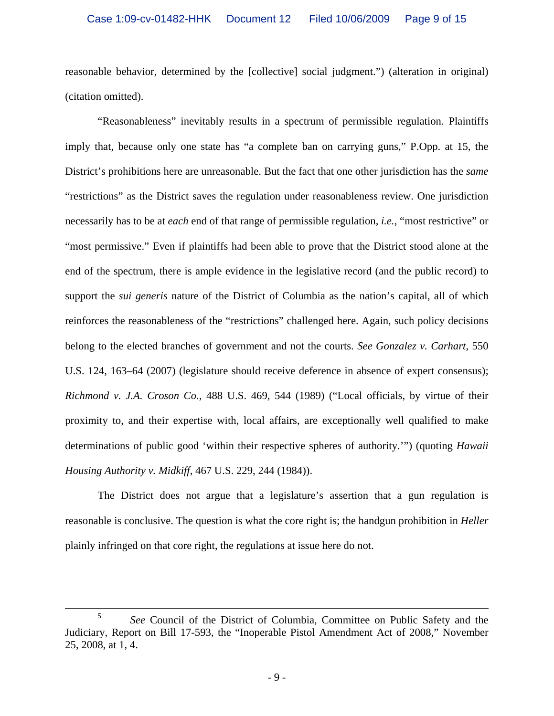reasonable behavior, determined by the [collective] social judgment.") (alteration in original) (citation omitted).

"Reasonableness" inevitably results in a spectrum of permissible regulation. Plaintiffs imply that, because only one state has "a complete ban on carrying guns," P.Opp. at 15, the District's prohibitions here are unreasonable. But the fact that one other jurisdiction has the *same* "restrictions" as the District saves the regulation under reasonableness review. One jurisdiction necessarily has to be at *each* end of that range of permissible regulation, *i.e.*, "most restrictive" or "most permissive." Even if plaintiffs had been able to prove that the District stood alone at the end of the spectrum, there is ample evidence in the legislative record (and the public record) to support the *sui generis* nature of the District of Columbia as the nation's capital, all of which reinforces the reasonableness of the "restrictions" challenged here. Again, such policy decisions belong to the elected branches of government and not the courts. *See Gonzalez v. Carhart*, 550 U.S. 124, 163–64 (2007) (legislature should receive deference in absence of expert consensus); *Richmond v. J.A. Croson Co.*, 488 U.S. 469, 544 (1989) ("Local officials, by virtue of their proximity to, and their expertise with, local affairs, are exceptionally well qualified to make determinations of public good 'within their respective spheres of authority.'") (quoting *Hawaii Housing Authority v. Midkiff*, 467 U.S. 229, 244 (1984)).

The District does not argue that a legislature's assertion that a gun regulation is reasonable is conclusive. The question is what the core right is; the handgun prohibition in *Heller* plainly infringed on that core right, the regulations at issue here do not.

 <sup>5</sup> *See* Council of the District of Columbia, Committee on Public Safety and the Judiciary, Report on Bill 17-593, the "Inoperable Pistol Amendment Act of 2008," November 25, 2008, at 1, 4.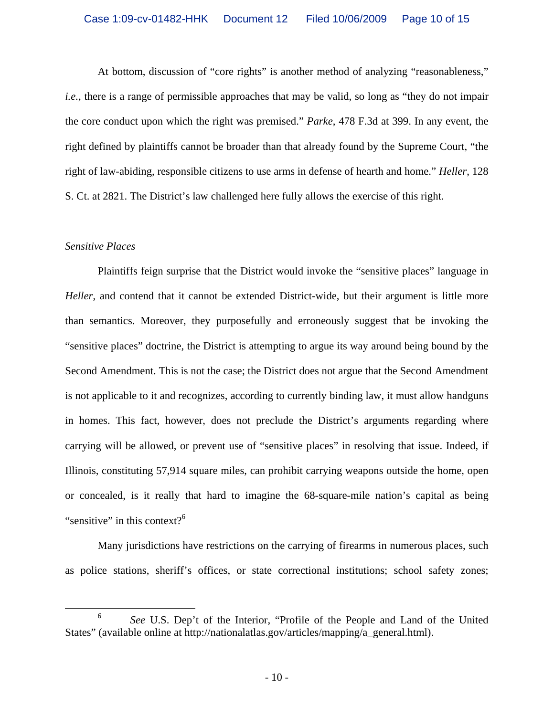At bottom, discussion of "core rights" is another method of analyzing "reasonableness," *i.e.*, there is a range of permissible approaches that may be valid, so long as "they do not impair the core conduct upon which the right was premised." *Parke*, 478 F.3d at 399. In any event, the right defined by plaintiffs cannot be broader than that already found by the Supreme Court, "the right of law-abiding, responsible citizens to use arms in defense of hearth and home." *Heller*, 128 S. Ct. at 2821. The District's law challenged here fully allows the exercise of this right.

### *Sensitive Places*

 Plaintiffs feign surprise that the District would invoke the "sensitive places" language in *Heller*, and contend that it cannot be extended District-wide, but their argument is little more than semantics. Moreover, they purposefully and erroneously suggest that be invoking the "sensitive places" doctrine, the District is attempting to argue its way around being bound by the Second Amendment. This is not the case; the District does not argue that the Second Amendment is not applicable to it and recognizes, according to currently binding law, it must allow handguns in homes. This fact, however, does not preclude the District's arguments regarding where carrying will be allowed, or prevent use of "sensitive places" in resolving that issue. Indeed, if Illinois, constituting 57,914 square miles, can prohibit carrying weapons outside the home, open or concealed, is it really that hard to imagine the 68-square-mile nation's capital as being "sensitive" in this context? $6$ 

Many jurisdictions have restrictions on the carrying of firearms in numerous places, such as police stations, sheriff's offices, or state correctional institutions; school safety zones;

 <sup>6</sup> *See* U.S. Dep't of the Interior, "Profile of the People and Land of the United States" (available online at http://nationalatlas.gov/articles/mapping/a\_general.html).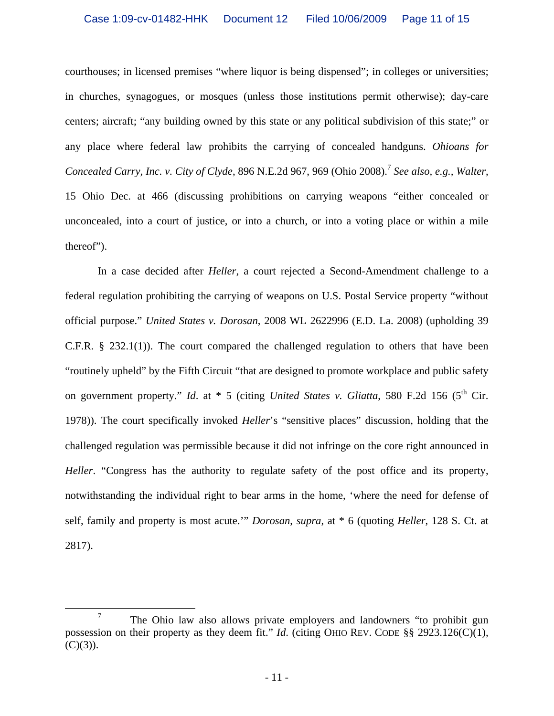courthouses; in licensed premises "where liquor is being dispensed"; in colleges or universities; in churches, synagogues, or mosques (unless those institutions permit otherwise); day-care centers; aircraft; "any building owned by this state or any political subdivision of this state;" or any place where federal law prohibits the carrying of concealed handguns. *Ohioans for Concealed Carry, Inc. v. City of Clyde,* 896 N.E.2d 967, 969 (Ohio 2008).<sup>7</sup> *See also, e.g., Walter,* 15 Ohio Dec. at 466 (discussing prohibitions on carrying weapons "either concealed or unconcealed, into a court of justice, or into a church, or into a voting place or within a mile thereof").

 In a case decided after *Heller*, a court rejected a Second-Amendment challenge to a federal regulation prohibiting the carrying of weapons on U.S. Postal Service property "without official purpose." *United States v. Dorosan*, 2008 WL 2622996 (E.D. La. 2008) (upholding 39 C.F.R. § 232.1(1)). The court compared the challenged regulation to others that have been "routinely upheld" by the Fifth Circuit "that are designed to promote workplace and public safety on government property." *Id.* at \* 5 (citing *United States v. Gliatta*, 580 F.2d 156 (5<sup>th</sup> Cir. 1978)). The court specifically invoked *Heller*'s "sensitive places" discussion, holding that the challenged regulation was permissible because it did not infringe on the core right announced in *Heller*. "Congress has the authority to regulate safety of the post office and its property, notwithstanding the individual right to bear arms in the home, 'where the need for defense of self, family and property is most acute.'" *Dorosan*, *supra*, at \* 6 (quoting *Heller*, 128 S. Ct. at 2817).

 $\frac{1}{7}$  $T$  The Ohio law also allows private employers and landowners "to prohibit gun possession on their property as they deem fit." *Id*. (citing OHIO REV. CODE §§ 2923.126(C)(1),  $(C)(3)$ ).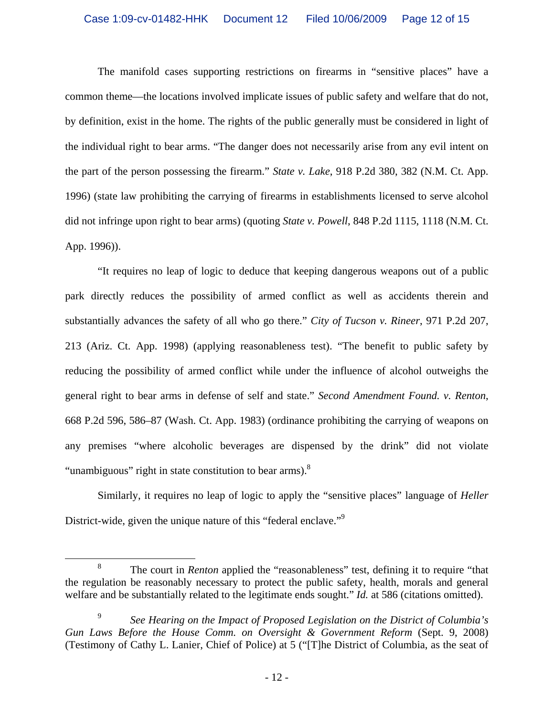The manifold cases supporting restrictions on firearms in "sensitive places" have a common theme—the locations involved implicate issues of public safety and welfare that do not, by definition, exist in the home. The rights of the public generally must be considered in light of the individual right to bear arms. "The danger does not necessarily arise from any evil intent on the part of the person possessing the firearm." *State v. Lake*, 918 P.2d 380, 382 (N.M. Ct. App. 1996) (state law prohibiting the carrying of firearms in establishments licensed to serve alcohol did not infringe upon right to bear arms) (quoting *State v. Powell*, 848 P.2d 1115, 1118 (N.M. Ct. App. 1996)).

"It requires no leap of logic to deduce that keeping dangerous weapons out of a public park directly reduces the possibility of armed conflict as well as accidents therein and substantially advances the safety of all who go there." *City of Tucson v. Rineer*, 971 P.2d 207, 213 (Ariz. Ct. App. 1998) (applying reasonableness test). "The benefit to public safety by reducing the possibility of armed conflict while under the influence of alcohol outweighs the general right to bear arms in defense of self and state." *Second Amendment Found. v. Renton*, 668 P.2d 596, 586–87 (Wash. Ct. App. 1983) (ordinance prohibiting the carrying of weapons on any premises "where alcoholic beverages are dispensed by the drink" did not violate "unambiguous" right in state constitution to bear arms).<sup>8</sup>

 Similarly, it requires no leap of logic to apply the "sensitive places" language of *Heller* District-wide, given the unique nature of this "federal enclave."<sup>9</sup>

 <sup>8</sup> <sup>8</sup> The court in *Renton* applied the "reasonableness" test, defining it to require "that the regulation be reasonably necessary to protect the public safety, health, morals and general welfare and be substantially related to the legitimate ends sought." *Id.* at 586 (citations omitted).

<sup>9</sup> *See Hearing on the Impact of Proposed Legislation on the District of Columbia's Gun Laws Before the House Comm. on Oversight & Government Reform* (Sept. 9, 2008) (Testimony of Cathy L. Lanier, Chief of Police) at 5 ("[T]he District of Columbia, as the seat of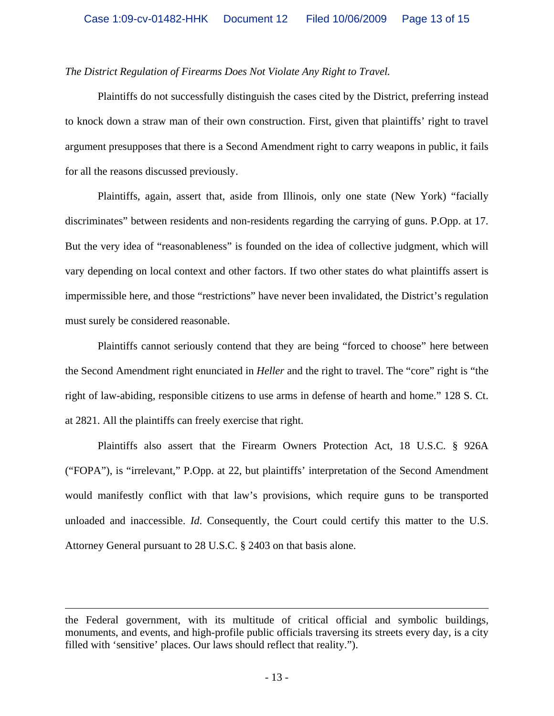# *The District Regulation of Firearms Does Not Violate Any Right to Travel.*

Plaintiffs do not successfully distinguish the cases cited by the District, preferring instead to knock down a straw man of their own construction. First, given that plaintiffs' right to travel argument presupposes that there is a Second Amendment right to carry weapons in public, it fails for all the reasons discussed previously.

Plaintiffs, again, assert that, aside from Illinois, only one state (New York) "facially discriminates" between residents and non-residents regarding the carrying of guns. P.Opp. at 17. But the very idea of "reasonableness" is founded on the idea of collective judgment, which will vary depending on local context and other factors. If two other states do what plaintiffs assert is impermissible here, and those "restrictions" have never been invalidated, the District's regulation must surely be considered reasonable.

Plaintiffs cannot seriously contend that they are being "forced to choose" here between the Second Amendment right enunciated in *Heller* and the right to travel. The "core" right is "the right of law-abiding, responsible citizens to use arms in defense of hearth and home." 128 S. Ct. at 2821. All the plaintiffs can freely exercise that right.

Plaintiffs also assert that the Firearm Owners Protection Act, 18 U.S.C. § 926A ("FOPA"), is "irrelevant," P.Opp. at 22, but plaintiffs' interpretation of the Second Amendment would manifestly conflict with that law's provisions, which require guns to be transported unloaded and inaccessible. *Id*. Consequently, the Court could certify this matter to the U.S. Attorney General pursuant to 28 U.S.C. § 2403 on that basis alone.

1

the Federal government, with its multitude of critical official and symbolic buildings, monuments, and events, and high-profile public officials traversing its streets every day, is a city filled with 'sensitive' places. Our laws should reflect that reality.").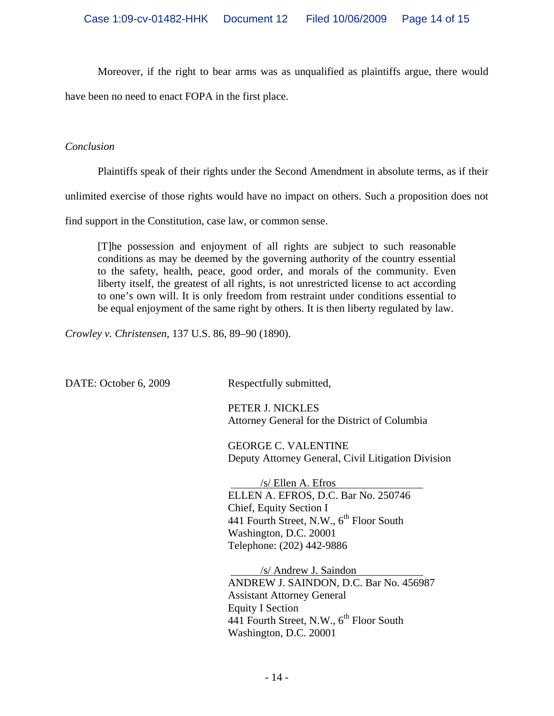Moreover, if the right to bear arms was as unqualified as plaintiffs argue, there would

have been no need to enact FOPA in the first place.

# *Conclusion*

Plaintiffs speak of their rights under the Second Amendment in absolute terms, as if their

unlimited exercise of those rights would have no impact on others. Such a proposition does not

find support in the Constitution, case law, or common sense.

[T]he possession and enjoyment of all rights are subject to such reasonable conditions as may be deemed by the governing authority of the country essential to the safety, health, peace, good order, and morals of the community. Even liberty itself, the greatest of all rights, is not unrestricted license to act according to one's own will. It is only freedom from restraint under conditions essential to be equal enjoyment of the same right by others. It is then liberty regulated by law.

*Crowley v. Christensen*, 137 U.S. 86, 89–90 (1890).

| DATE: October 6, 2009 | Respectfully submitted,                                                                                                                                                                                           |
|-----------------------|-------------------------------------------------------------------------------------------------------------------------------------------------------------------------------------------------------------------|
|                       | PETER J. NICKLES<br>Attorney General for the District of Columbia                                                                                                                                                 |
|                       | <b>GEORGE C. VALENTINE</b><br>Deputy Attorney General, Civil Litigation Division                                                                                                                                  |
|                       | $/s$ Ellen A. Efros<br>ELLEN A. EFROS, D.C. Bar No. 250746<br>Chief, Equity Section I<br>441 Fourth Street, N.W., 6 <sup>th</sup> Floor South<br>Washington, D.C. 20001<br>Telephone: (202) 442-9886              |
|                       | /s/ Andrew J. Saindon<br>ANDREW J. SAINDON, D.C. Bar No. 456987<br><b>Assistant Attorney General</b><br><b>Equity I Section</b><br>441 Fourth Street, N.W., 6 <sup>th</sup> Floor South<br>Washington, D.C. 20001 |